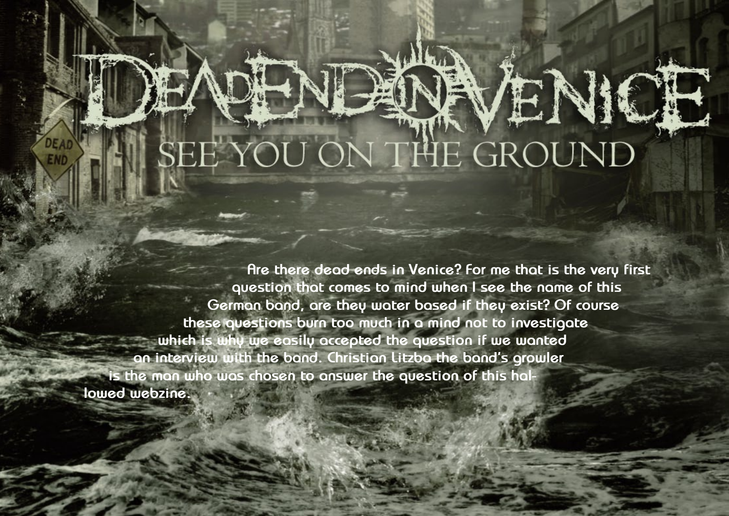Hallowed PDF-article Design by Daniel Källmalm

 $H_1$  is the positive  $H_2$ Design by Daniel Källmalm

## ENDENLENAVENI

**Are there dead ends in Venice? For me that is the very first question that comes to mind when I see the name of this German band, are they water based if they exist? Of course these questions burn too much in a mind not to investigate which is why we easily accepted the question if we wanted an interview with the band. Christian Litzba the band's growler is the man who was chosen to answer the question of this hallowed webzine.**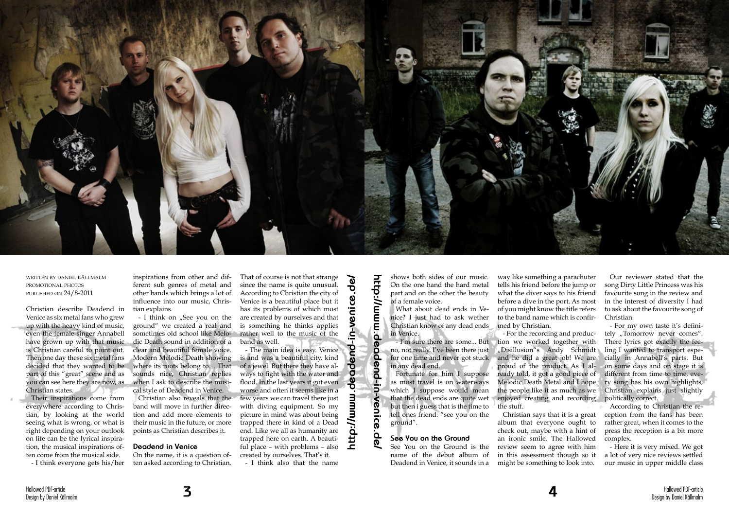

written by daniel källmalm promotional photos published on 24/8-2011

Christian describe Deadend in Venice as six metal fans who grew up with the heavy kind of music, even the female singer Annabell have grown up with that music is Christian careful to point out. Then one day these six metal fans decided that they wanted to be part of this "great" scene and as you can see here they are now, as Christian states.

- I think on "See you on the ground" we created a real and sometimes old school like Melodic Death sound in addition of a clear and beautiful female voice. Modern Melodic Death showing where its roots belong to… That sounds nice, Christian replies when I ask to describe the musical style of Deadend in Venice.

Their inspirations come from everywhere according to Christian, by looking at the world seeing what is wrong, or what is right depending on your outlook on life can be the lyrical inspiration, the musical inspirations often come from the musical side.

- I think everyone gets his/her

inspirations from other and different sub genres of metal and other bands which brings a lot of influence into our music, Christian explains.

Christian also reveals that the band will move in further direction and add more elements to their music in the future, or more points as Christian describes it.

## **Deadend in Venice**

On the name, it is a question often asked according to Christian.

That of course is not that strange since the name is quite unusual. According to Christian the city of Venice is a beautiful place but it has its problems of which most are created by ourselves and that is something he thinks applies rather well to the music of the band as well.

- I think also that the name

shows both sides of our music. On the one hand the hard metal part and on the other the beauty of a female voice.

What about dead ends in Venice? I just had to ask wether Christian know of any dead ends med by Christian. in Venice.

no, not really. I've been there just for one time and never got stuck in any dead end.

Fortunate for him I suppose as most travel is on waterways which I suppose would mean that the dead ends are quite wet but then i guess that is the time to tell ones friend: "see you on the ground".

## **See You on the Ground**

See You on the Ground is the name of the debut album of Deadend in Venice, it sounds in a

- I'm sure there are some... But tion we worked together with - For the recording and produc-"Disillusion"s Andy Schmidt and he did a great job! We are proud of the product. As I already told, it got a good piece of Melodic Death Metal and I hope the people like it as much as we enjoyed creating and recording the stuff.

way like something a parachuter tells his friend before the jump or what the diver says to his friend before a dive in the port. As most of you might know the title refers to the band name which is confir-

- The main idea is easy. Venice is and was a beautiful city, kind of a jewel. But there they have always to fight with the water and flood. In the last years it got even worse and often it seems like in a few years we can travel there just with diving equipment. So my picture in mind was about being trapped there in kind of a Dead end. Like we all as humanity are trapped here on earth. A beautiful place – with problems – also created by ourselves. That's it. **<sup>3</sup> <sup>4</sup> http://www.deadend-in-venice.de/http://www.deadend-in-venice.de/**

Christian says that it is a great album that everyone ought to check out, maybe with a hint of an ironic smile. The Hallowed review seem to agree with him in this assessment though so it might be something to look into.

Our reviewer stated that the song Dirty Little Princess was his favourite song in the review and in the interest of diversity I had to ask about the favourite song of Christian.

- For my own taste it's definitely "Tomorrow never comes". There lyrics got exactly the feeling I wanted to transport especially in Annabell's parts. But on some days and on stage it is different from time to time, every song has his own highlights, Christian explains just slightly politically correct.

According to Christian the reception from the fans has been rather great, when it comes to the press the reception is a bit more complex.

- Here it is very mixed. We got a lot of very nice reviews settled our music in upper middle class